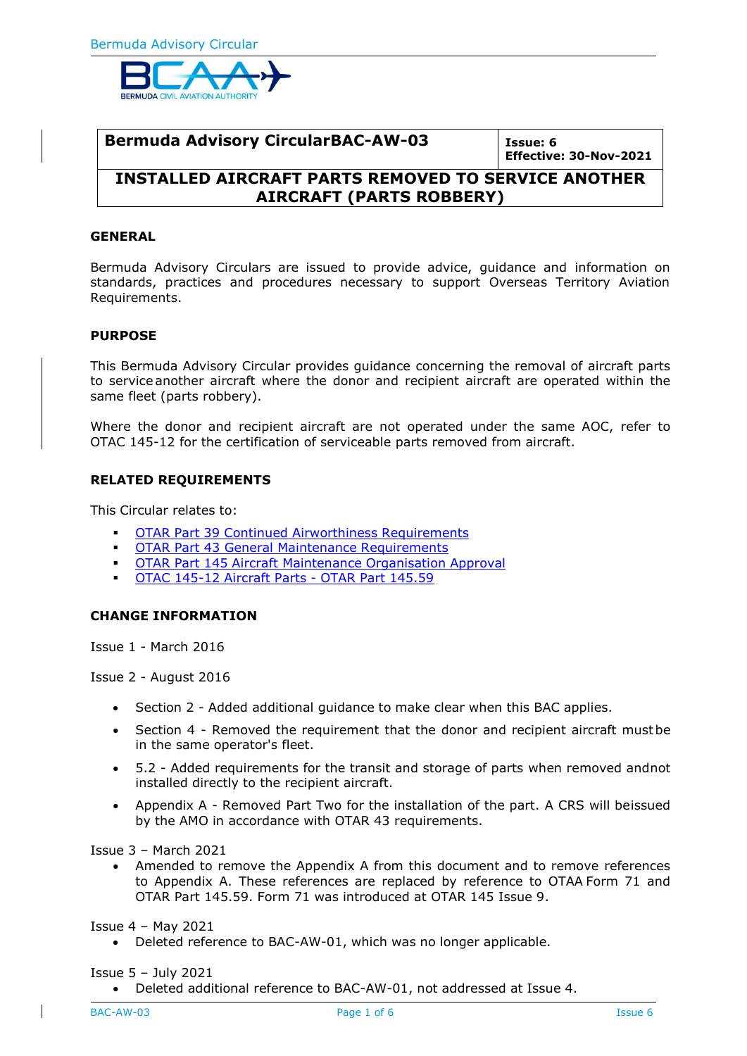

**Bermuda Advisory CircularBAC-AW-03 Issue: 6 Effective: 30-Nov-2021**

# **INSTALLED AIRCRAFT PARTS REMOVED TO SERVICE ANOTHER AIRCRAFT (PARTS ROBBERY)**

#### **GENERAL**

Bermuda Advisory Circulars are issued to provide advice, guidance and information on standards, practices and procedures necessary to support Overseas Territory Aviation Requirements.

#### **PURPOSE**

This Bermuda Advisory Circular provides guidance concerning the removal of aircraft parts to service another aircraft where the donor and recipient aircraft are operated within the same fleet (parts robbery).

Where the donor and recipient aircraft are not operated under the same AOC, refer to OTAC 145-12 for the certification of serviceable parts removed from aircraft.

### **RELATED REQUIREMENTS**

This Circular relates to:

- **INCOTAR Part 39 Continued Airworthiness [Requirements](http://www.airsafety.aero/Requirements-and-Policy/OTARs/Part-39-Continued-Airworthiness-Requirements.aspx)**
- **OTAR Part 43 General Maintenance [Requirements](http://www.airsafety.aero/Requirements-and-Policy/OTARs/Part-43-General-Maintenance-Requirements.aspx)**
- **OTAR Part 145 Aircraft Maintenance [Organisation](http://www.airsafety.aero/Requirements-and-Policy/OTARs/Part-145-Aircraft-Maintenance-Organisation-Approva.aspx) Approval**
- OTAC 145-12 [Aircraft](http://www.airsafety.aero/Requirements-and-Policy/OTACs/OTAR-Part-145-Aircraft-Maintenance-Organisation/Aircraft-Parts.aspx) Parts OTAR Part 145.59

#### **CHANGE INFORMATION**

Issue 1 - March 2016

Issue 2 - August 2016

- Section 2 Added additional guidance to make clear when this BAC applies.
- Section 4 Removed the requirement that the donor and recipient aircraft mustbe in the same operator's fleet.
- 5.2 Added requirements for the transit and storage of parts when removed andnot installed directly to the recipient aircraft.
- Appendix A Removed Part Two for the installation of the part. A CRS will beissued by the AMO in accordance with OTAR 43 requirements.

Issue 3 – March 2021

• Amended to remove the Appendix A from this document and to remove references to Appendix A. These references are replaced by reference to OTAA Form 71 and OTAR Part 145.59. Form 71 was introduced at OTAR 145 Issue 9.

Issue 4 – May 2021

• Deleted reference to BAC-AW-01, which was no longer applicable.

Issue 5 – July 2021

• Deleted additional reference to BAC-AW-01, not addressed at Issue 4.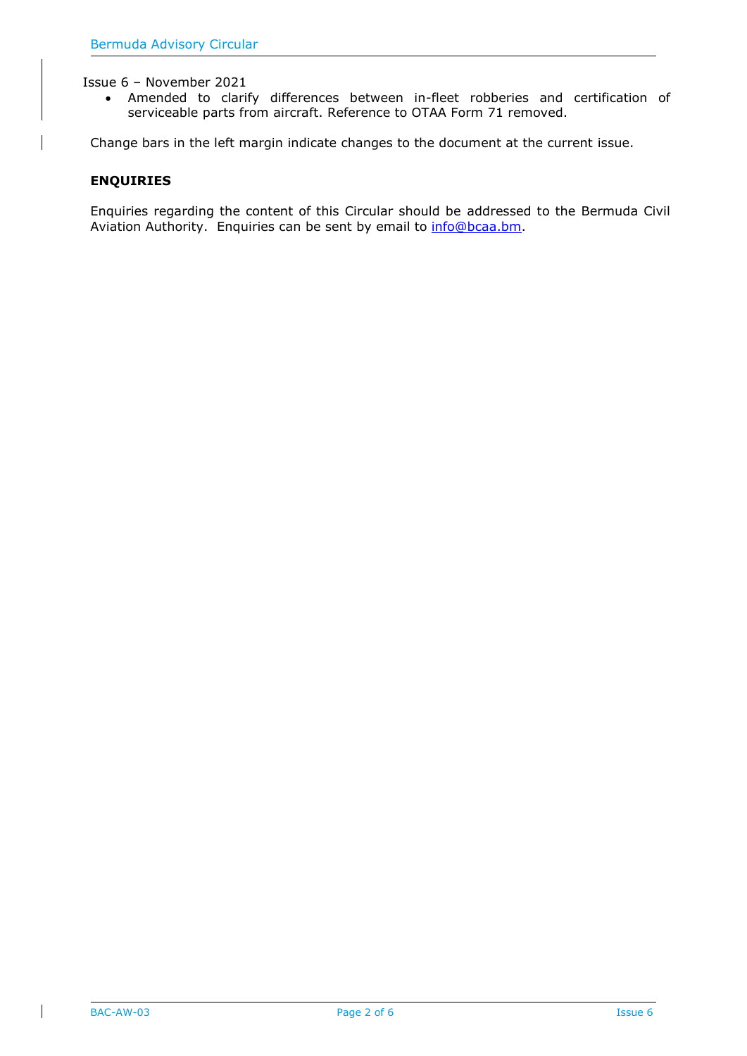Issue 6 – November 2021

• Amended to clarify differences between in-fleet robberies and certification of serviceable parts from aircraft. Reference to OTAA Form 71 removed.

Change bars in the left margin indicate changes to the document at the current issue.

#### **ENQUIRIES**

Enquiries regarding the content of this Circular should be addressed to the Bermuda Civil Aviation Authority. Enquiries can be sent by email to [info@bcaa.bm.](mailto:info@bcaa.bm)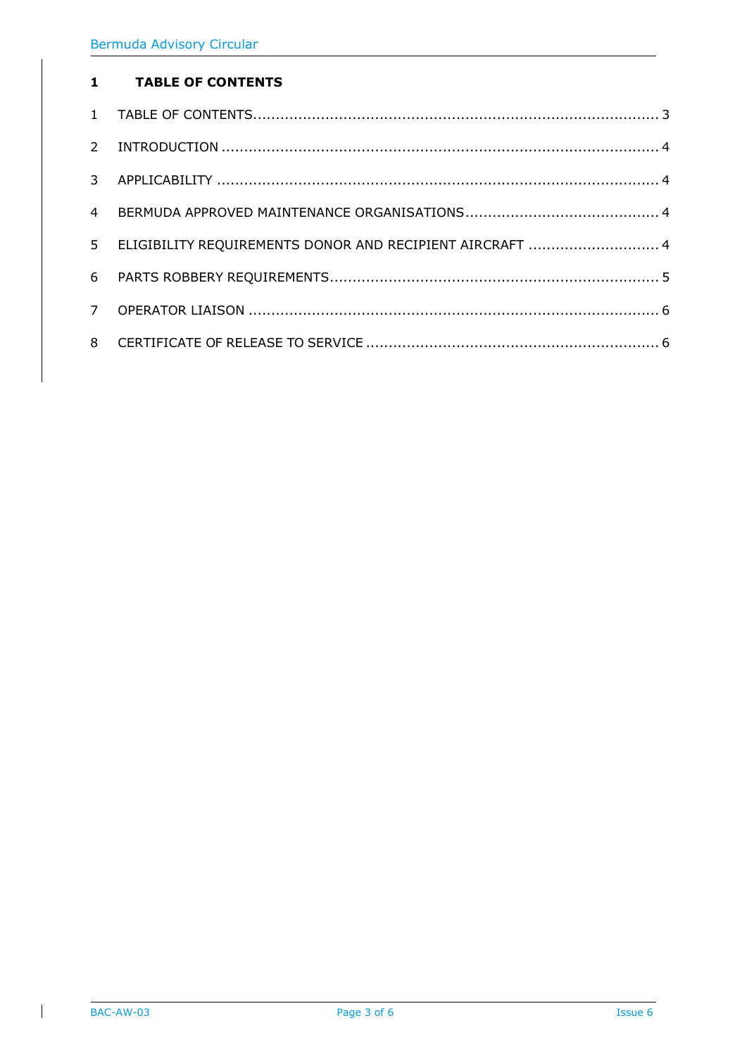## <span id="page-2-0"></span>**TABLE OF CONTENTS**

| $\overline{4}$ |                                                          |
|----------------|----------------------------------------------------------|
| 5 <sup>1</sup> | ELIGIBILITY REQUIREMENTS DONOR AND RECIPIENT AIRCRAFT  4 |
| 6              |                                                          |
|                |                                                          |
|                |                                                          |

 $\overline{\phantom{a}}$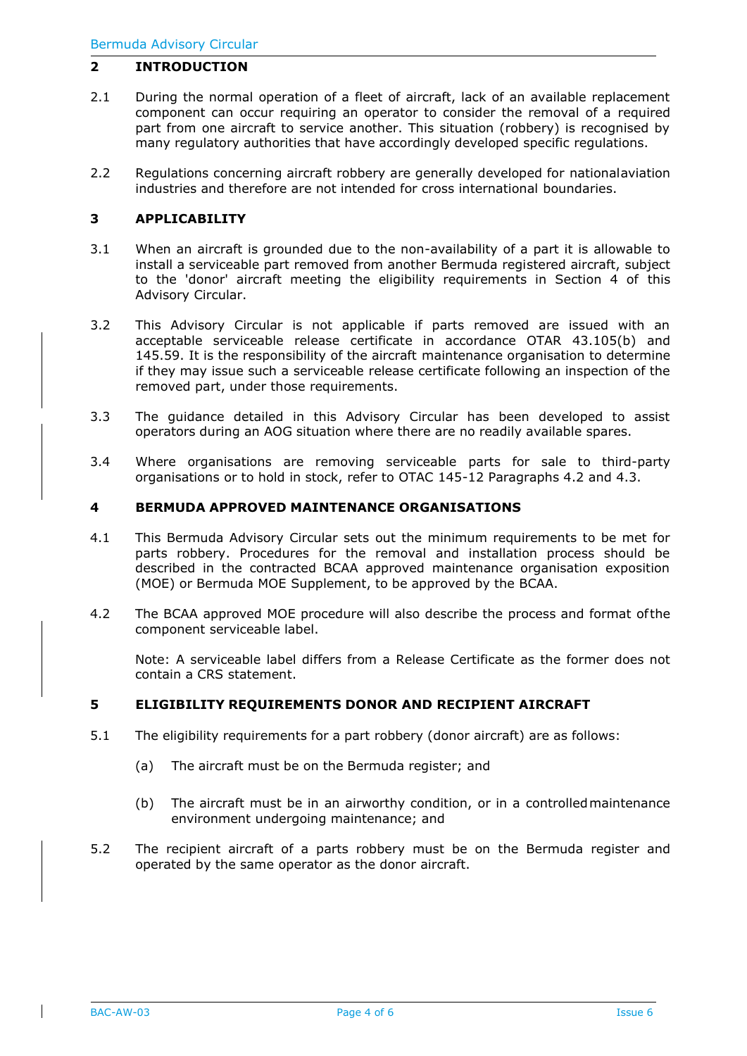### <span id="page-3-0"></span>**2 INTRODUCTION**

- 2.1 During the normal operation of a fleet of aircraft, lack of an available replacement component can occur requiring an operator to consider the removal of a required part from one aircraft to service another. This situation (robbery) is recognised by many regulatory authorities that have accordingly developed specific regulations.
- 2.2 Regulations concerning aircraft robbery are generally developed for nationalaviation industries and therefore are not intended for cross international boundaries.

### <span id="page-3-1"></span>**3 APPLICABILITY**

- 3.1 When an aircraft is grounded due to the non-availability of a part it is allowable to install a serviceable part removed from another Bermuda registered aircraft, subject to the 'donor' aircraft meeting the eligibility requirements in Section 4 of this Advisory Circular.
- 3.2 This Advisory Circular is not applicable if parts removed are issued with an acceptable serviceable release certificate in accordance OTAR 43.105(b) and 145.59. It is the responsibility of the aircraft maintenance organisation to determine if they may issue such a serviceable release certificate following an inspection of the removed part, under those requirements.
- 3.3 The guidance detailed in this Advisory Circular has been developed to assist operators during an AOG situation where there are no readily available spares.
- 3.4 Where organisations are removing serviceable parts for sale to third-party organisations or to hold in stock, refer to OTAC 145-12 Paragraphs 4.2 and 4.3.

### <span id="page-3-2"></span>**4 BERMUDA APPROVED MAINTENANCE ORGANISATIONS**

- 4.1 This Bermuda Advisory Circular sets out the minimum requirements to be met for parts robbery. Procedures for the removal and installation process should be described in the contracted BCAA approved maintenance organisation exposition (MOE) or Bermuda MOE Supplement, to be approved by the BCAA.
- 4.2 The BCAA approved MOE procedure will also describe the process and format ofthe component serviceable label.

Note: A serviceable label differs from a Release Certificate as the former does not contain a CRS statement.

### <span id="page-3-3"></span>**5 ELIGIBILITY REQUIREMENTS DONOR AND RECIPIENT AIRCRAFT**

- 5.1 The eligibility requirements for a part robbery (donor aircraft) are as follows:
	- (a) The aircraft must be on the Bermuda register; and
	- (b) The aircraft must be in an airworthy condition, or in a controlledmaintenance environment undergoing maintenance; and
- 5.2 The recipient aircraft of a parts robbery must be on the Bermuda register and operated by the same operator as the donor aircraft.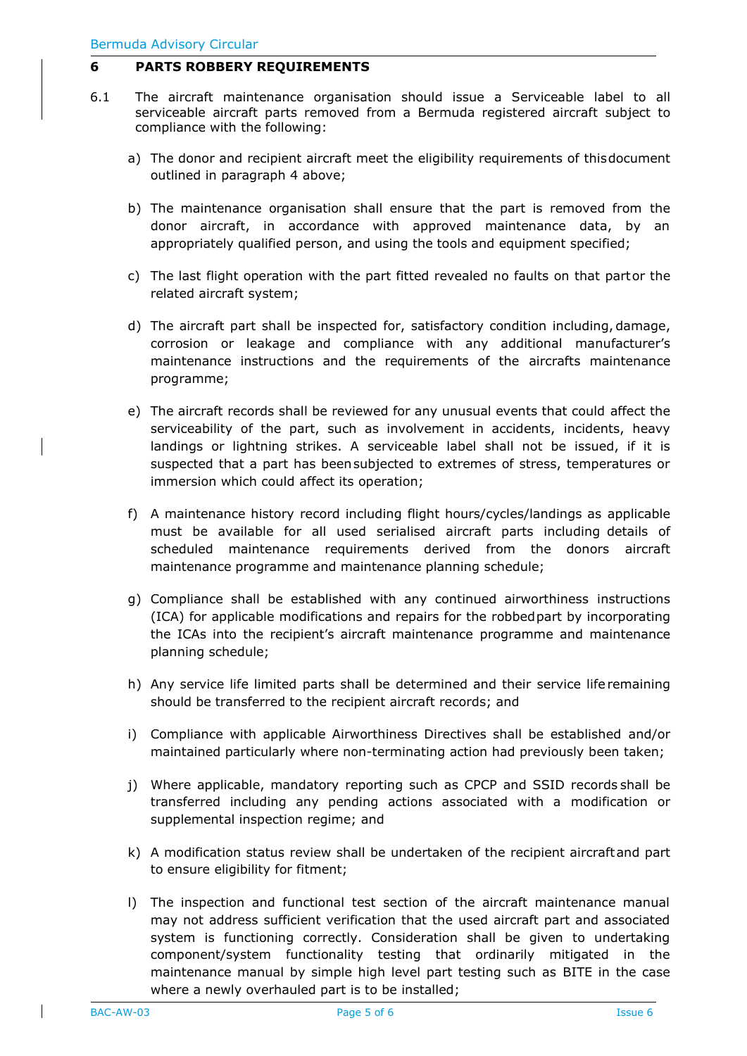### <span id="page-4-0"></span>**6 PARTS ROBBERY REQUIREMENTS**

- 6.1 The aircraft maintenance organisation should issue a Serviceable label to all serviceable aircraft parts removed from a Bermuda registered aircraft subject to compliance with the following:
	- a) The donor and recipient aircraft meet the eligibility requirements of thisdocument outlined in paragraph 4 above;
	- b) The maintenance organisation shall ensure that the part is removed from the donor aircraft, in accordance with approved maintenance data, by an appropriately qualified person, and using the tools and equipment specified;
	- c) The last flight operation with the part fitted revealed no faults on that partor the related aircraft system;
	- d) The aircraft part shall be inspected for, satisfactory condition including, damage, corrosion or leakage and compliance with any additional manufacturer's maintenance instructions and the requirements of the aircrafts maintenance programme;
	- e) The aircraft records shall be reviewed for any unusual events that could affect the serviceability of the part, such as involvement in accidents, incidents, heavy landings or lightning strikes. A serviceable label shall not be issued, if it is suspected that a part has beensubjected to extremes of stress, temperatures or immersion which could affect its operation;
	- f) A maintenance history record including flight hours/cycles/landings as applicable must be available for all used serialised aircraft parts including details of scheduled maintenance requirements derived from the donors aircraft maintenance programme and maintenance planning schedule;
	- g) Compliance shall be established with any continued airworthiness instructions (ICA) for applicable modifications and repairs for the robbedpart by incorporating the ICAs into the recipient's aircraft maintenance programme and maintenance planning schedule;
	- h) Any service life limited parts shall be determined and their service life remaining should be transferred to the recipient aircraft records; and
	- i) Compliance with applicable Airworthiness Directives shall be established and/or maintained particularly where non-terminating action had previously been taken;
	- j) Where applicable, mandatory reporting such as CPCP and SSID records shall be transferred including any pending actions associated with a modification or supplemental inspection regime; and
	- k) A modification status review shall be undertaken of the recipient aircraftand part to ensure eligibility for fitment;
	- l) The inspection and functional test section of the aircraft maintenance manual may not address sufficient verification that the used aircraft part and associated system is functioning correctly. Consideration shall be given to undertaking component/system functionality testing that ordinarily mitigated in the maintenance manual by simple high level part testing such as BITE in the case where a newly overhauled part is to be installed;